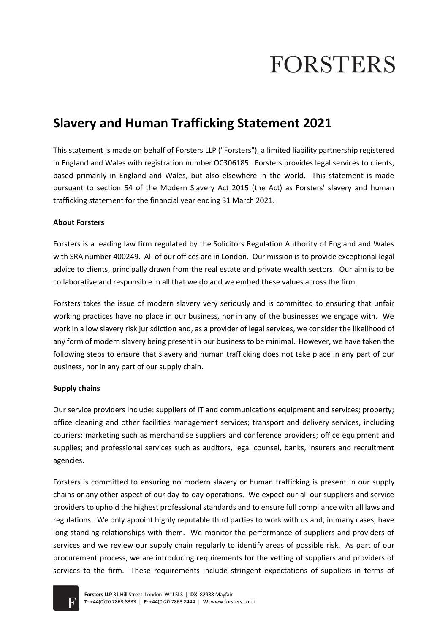# **FORSTERS**

# **Slavery and Human Trafficking Statement 2021**

This statement is made on behalf of Forsters LLP ("Forsters"), a limited liability partnership registered in England and Wales with registration number OC306185. Forsters provides legal services to clients, based primarily in England and Wales, but also elsewhere in the world. This statement is made pursuant to section 54 of the Modern Slavery Act 2015 (the Act) as Forsters' slavery and human trafficking statement for the financial year ending 31 March 2021.

# **About Forsters**

Forsters is a leading law firm regulated by the Solicitors Regulation Authority of England and Wales with SRA number 400249. All of our offices are in London. Our mission is to provide exceptional legal advice to clients, principally drawn from the real estate and private wealth sectors. Our aim is to be collaborative and responsible in all that we do and we embed these values across the firm.

Forsters takes the issue of modern slavery very seriously and is committed to ensuring that unfair working practices have no place in our business, nor in any of the businesses we engage with. We work in a low slavery risk jurisdiction and, as a provider of legal services, we consider the likelihood of any form of modern slavery being present in our business to be minimal. However, we have taken the following steps to ensure that slavery and human trafficking does not take place in any part of our business, nor in any part of our supply chain.

#### **Supply chains**

Our service providers include: suppliers of IT and communications equipment and services; property; office cleaning and other facilities management services; transport and delivery services, including couriers; marketing such as merchandise suppliers and conference providers; office equipment and supplies; and professional services such as auditors, legal counsel, banks, insurers and recruitment agencies.

Forsters is committed to ensuring no modern slavery or human trafficking is present in our supply chains or any other aspect of our day-to-day operations. We expect our all our suppliers and service providers to uphold the highest professional standards and to ensure full compliance with all laws and regulations. We only appoint highly reputable third parties to work with us and, in many cases, have long-standing relationships with them. We monitor the performance of suppliers and providers of services and we review our supply chain regularly to identify areas of possible risk. As part of our procurement process, we are introducing requirements for the vetting of suppliers and providers of services to the firm. These requirements include stringent expectations of suppliers in terms of